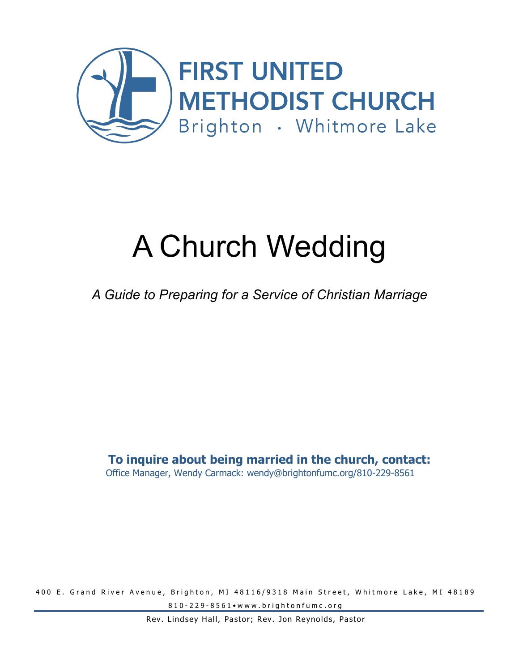

# A Church Wedding

### *A Guide to Preparing for a Service of Christian Marriage*

#### **To inquire about being married in the church, contact:** Office Manager, Wendy Carmack: wendy@brightonfumc.org/810-229-8561

400 E. Grand River Avenue, Brighton, MI 48116/9318 Main Street, Whitmore Lake, MI 48189 810 - 229 - 8561 • www.brightonfumc.org

Rev. Lindsey Hall, Pastor; Rev. Jon Reynolds, Pastor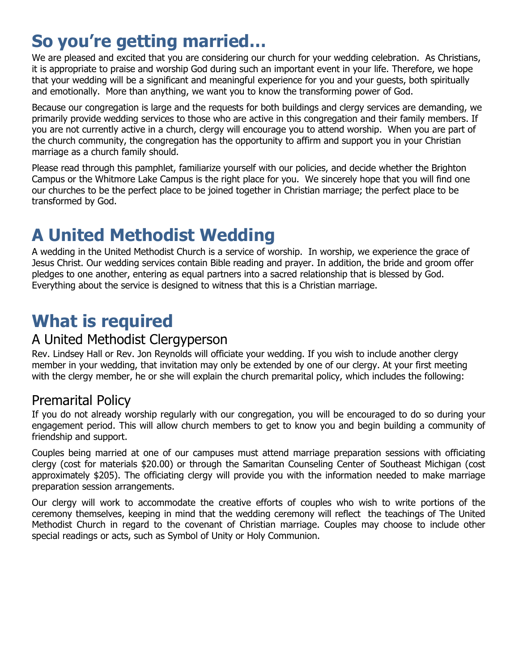### **So you're getting married…**

We are pleased and excited that you are considering our church for your wedding celebration. As Christians, it is appropriate to praise and worship God during such an important event in your life. Therefore, we hope that your wedding will be a significant and meaningful experience for you and your guests, both spiritually and emotionally. More than anything, we want you to know the transforming power of God.

Because our congregation is large and the requests for both buildings and clergy services are demanding, we primarily provide wedding services to those who are active in this congregation and their family members. If you are not currently active in a church, clergy will encourage you to attend worship. When you are part of the church community, the congregation has the opportunity to affirm and support you in your Christian marriage as a church family should.

Please read through this pamphlet, familiarize yourself with our policies, and decide whether the Brighton Campus or the Whitmore Lake Campus is the right place for you. We sincerely hope that you will find one our churches to be the perfect place to be joined together in Christian marriage; the perfect place to be transformed by God.

### **A United Methodist Wedding**

A wedding in the United Methodist Church is a service of worship. In worship, we experience the grace of Jesus Christ. Our wedding services contain Bible reading and prayer. In addition, the bride and groom offer pledges to one another, entering as equal partners into a sacred relationship that is blessed by God. Everything about the service is designed to witness that this is a Christian marriage.

### **What is required**

#### A United Methodist Clergyperson

Rev. Lindsey Hall or Rev. Jon Reynolds will officiate your wedding. If you wish to include another clergy member in your wedding, that invitation may only be extended by one of our clergy. At your first meeting with the clergy member, he or she will explain the church premarital policy, which includes the following:

#### Premarital Policy

If you do not already worship regularly with our congregation, you will be encouraged to do so during your engagement period. This will allow church members to get to know you and begin building a community of friendship and support.

Couples being married at one of our campuses must attend marriage preparation sessions with officiating clergy (cost for materials \$20.00) or through the Samaritan Counseling Center of Southeast Michigan (cost approximately \$205). The officiating clergy will provide you with the information needed to make marriage preparation session arrangements.

Our clergy will work to accommodate the creative efforts of couples who wish to write portions of the ceremony themselves, keeping in mind that the wedding ceremony will reflect the teachings of The United Methodist Church in regard to the covenant of Christian marriage. Couples may choose to include other special readings or acts, such as Symbol of Unity or Holy Communion.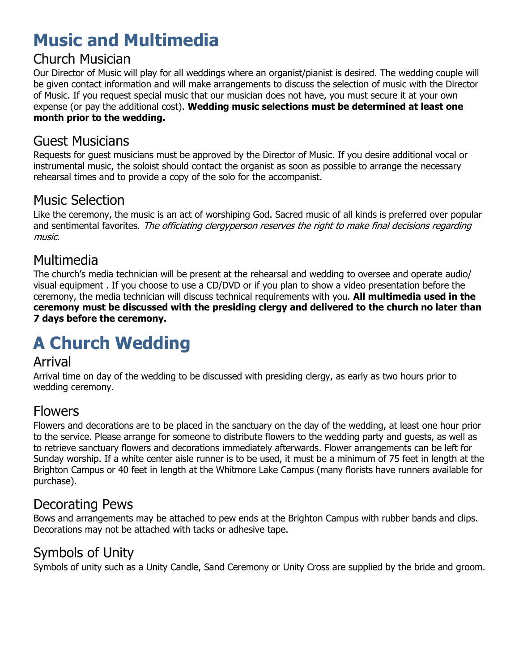### **Music and Multimedia**

### Church Musician

Our Director of Music will play for all weddings where an organist/pianist is desired. The wedding couple will be given contact information and will make arrangements to discuss the selection of music with the Director of Music. If you request special music that our musician does not have, you must secure it at your own expense (or pay the additional cost). **Wedding music selections must be determined at least one month prior to the wedding.**

#### Guest Musicians

Requests for guest musicians must be approved by the Director of Music. If you desire additional vocal or instrumental music, the soloist should contact the organist as soon as possible to arrange the necessary rehearsal times and to provide a copy of the solo for the accompanist.

### Music Selection

Like the ceremony, the music is an act of worshiping God. Sacred music of all kinds is preferred over popular and sentimental favorites. The officiating clergyperson reserves the right to make final decisions regarding music.

### Multimedia

The church's media technician will be present at the rehearsal and wedding to oversee and operate audio/ visual equipment . If you choose to use a CD/DVD or if you plan to show a video presentation before the ceremony, the media technician will discuss technical requirements with you. **All multimedia used in the ceremony must be discussed with the presiding clergy and delivered to the church no later than 7 days before the ceremony.** 

## **A Church Wedding**

#### Arrival

Arrival time on day of the wedding to be discussed with presiding clergy, as early as two hours prior to wedding ceremony.

### Flowers

Flowers and decorations are to be placed in the sanctuary on the day of the wedding, at least one hour prior to the service. Please arrange for someone to distribute flowers to the wedding party and guests, as well as to retrieve sanctuary flowers and decorations immediately afterwards. Flower arrangements can be left for Sunday worship. If a white center aisle runner is to be used, it must be a minimum of 75 feet in length at the Brighton Campus or 40 feet in length at the Whitmore Lake Campus (many florists have runners available for purchase).

#### Decorating Pews

Bows and arrangements may be attached to pew ends at the Brighton Campus with rubber bands and clips. Decorations may not be attached with tacks or adhesive tape.

### Symbols of Unity

Symbols of unity such as a Unity Candle, Sand Ceremony or Unity Cross are supplied by the bride and groom.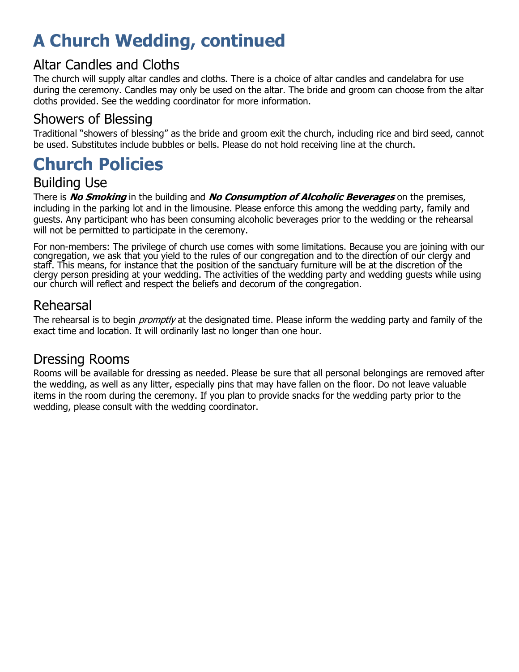### **A Church Wedding, continued**

#### Altar Candles and Cloths

The church will supply altar candles and cloths. There is a choice of altar candles and candelabra for use during the ceremony. Candles may only be used on the altar. The bride and groom can choose from the altar cloths provided. See the wedding coordinator for more information.

### Showers of Blessing

Traditional "showers of blessing" as the bride and groom exit the church, including rice and bird seed, cannot be used. Substitutes include bubbles or bells. Please do not hold receiving line at the church.

### **Church Policies**

#### Building Use

There is **No Smoking** in the building and **No Consumption of Alcoholic Beverages** on the premises, including in the parking lot and in the limousine. Please enforce this among the wedding party, family and guests. Any participant who has been consuming alcoholic beverages prior to the wedding or the rehearsal will not be permitted to participate in the ceremony.

For non-members: The privilege of church use comes with some limitations. Because you are joining with our congregation, we ask that you yield to the rules of our congregation and to the direction of our clergy and staff. This means, for instance that the position of the sanctuary furniture will be at the discretion of the clergy person presiding at your wedding. The activities of the wedding party and wedding guests while using our church will reflect and respect the beliefs and decorum of the congregation.

### Rehearsal

The rehearsal is to begin *promptly* at the designated time. Please inform the wedding party and family of the exact time and location. It will ordinarily last no longer than one hour.

### Dressing Rooms

Rooms will be available for dressing as needed. Please be sure that all personal belongings are removed after the wedding, as well as any litter, especially pins that may have fallen on the floor. Do not leave valuable items in the room during the ceremony. If you plan to provide snacks for the wedding party prior to the wedding, please consult with the wedding coordinator.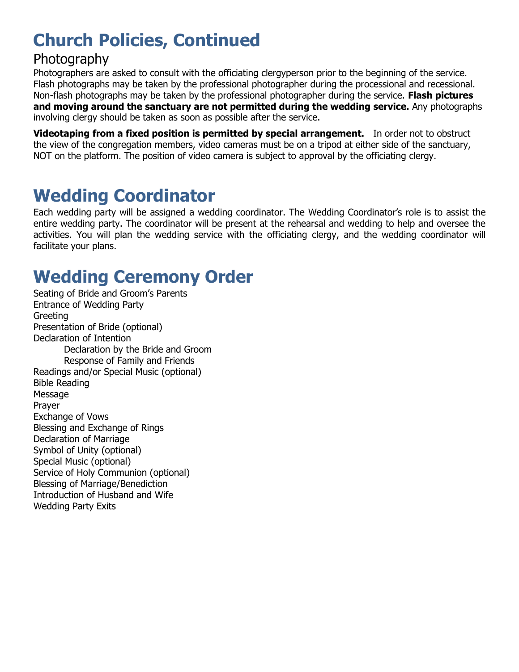### **Church Policies, Continued**

### Photography

Photographers are asked to consult with the officiating clergyperson prior to the beginning of the service. Flash photographs may be taken by the professional photographer during the processional and recessional. Non-flash photographs may be taken by the professional photographer during the service. **Flash pictures and moving around the sanctuary are not permitted during the wedding service.** Any photographs involving clergy should be taken as soon as possible after the service.

**Videotaping from a fixed position is permitted by special arrangement.** In order not to obstruct the view of the congregation members, video cameras must be on a tripod at either side of the sanctuary, NOT on the platform. The position of video camera is subject to approval by the officiating clergy.

### **Wedding Coordinator**

Each wedding party will be assigned a wedding coordinator. The Wedding Coordinator's role is to assist the entire wedding party. The coordinator will be present at the rehearsal and wedding to help and oversee the activities. You will plan the wedding service with the officiating clergy, and the wedding coordinator will facilitate your plans.

### **Wedding Ceremony Order**

Seating of Bride and Groom's Parents Entrance of Wedding Party Greeting Presentation of Bride (optional) Declaration of Intention Declaration by the Bride and Groom Response of Family and Friends Readings and/or Special Music (optional) Bible Reading Message Prayer Exchange of Vows Blessing and Exchange of Rings Declaration of Marriage Symbol of Unity (optional) Special Music (optional) Service of Holy Communion (optional) Blessing of Marriage/Benediction Introduction of Husband and Wife Wedding Party Exits